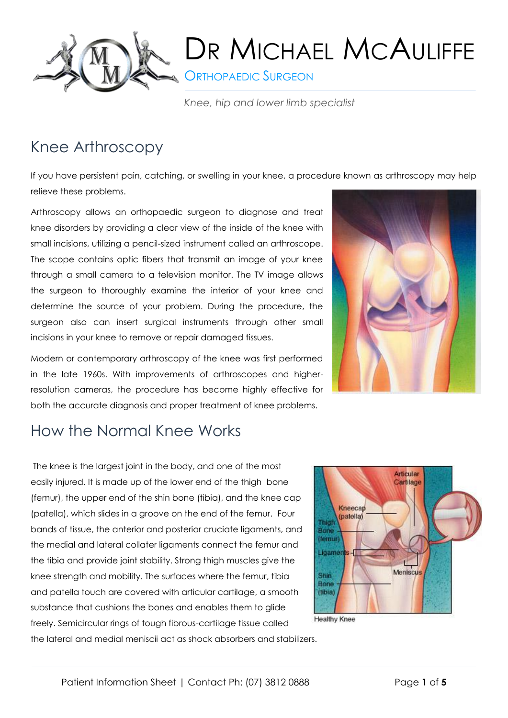

**CRTHOPAEDIC SURGEON** 

*Knee, hip and lower limb specialist*

## Knee Arthroscopy

If you have persistent pain, catching, or swelling in your knee, a procedure known as arthroscopy may help relieve these problems.

Arthroscopy allows an orthopaedic surgeon to diagnose and treat knee disorders by providing a clear view of the inside of the knee with small incisions, utilizing a pencil-sized instrument called an arthroscope. The scope contains optic fibers that transmit an image of your knee through a small camera to a television monitor. The TV image allows the surgeon to thoroughly examine the interior of your knee and determine the source of your problem. During the procedure, the surgeon also can insert surgical instruments through other small incisions in your knee to remove or repair damaged tissues.

Modern or contemporary arthroscopy of the knee was first performed in the late 1960s. With improvements of arthroscopes and higherresolution cameras, the procedure has become highly effective for both the accurate diagnosis and proper treatment of knee problems.



## How the Normal Knee Works

The knee is the largest joint in the body, and one of the most easily injured. It is made up of the lower end of the thigh bone (femur), the upper end of the shin bone (tibia), and the knee cap (patella), which slides in a groove on the end of the femur. Four bands of tissue, the anterior and posterior cruciate ligaments, and the medial and lateral collater ligaments connect the femur and the tibia and provide joint stability. Strong thigh muscles give the knee strength and mobility. The surfaces where the femur, tibia and patella touch are covered with articular cartilage, a smooth substance that cushions the bones and enables them to glide freely. Semicircular rings of tough fibrous-cartilage tissue called the lateral and medial meniscii act as shock absorbers and stabilizers.



**Healthy Knee**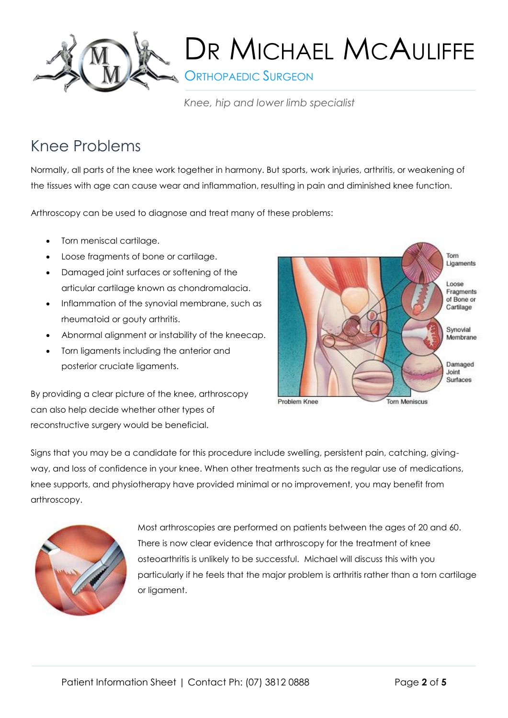

**S** ORTHOPAEDIC SURGEON

*Knee, hip and lower limb specialist*

## Knee Problems

Normally, all parts of the knee work together in harmony. But sports, work injuries, arthritis, or weakening of the tissues with age can cause wear and inflammation, resulting in pain and diminished knee function.

Arthroscopy can be used to diagnose and treat many of these problems:

- Torn meniscal cartilage.
- Loose fragments of bone or cartilage.
- Damaged joint surfaces or softening of the articular cartilage known as chondromalacia.
- Inflammation of the synovial membrane, such as rheumatoid or gouty arthritis.
- Abnormal alignment or instability of the kneecap.
- Torn ligaments including the anterior and posterior cruciate ligaments.

By providing a clear picture of the knee, arthroscopy can also help decide whether other types of reconstructive surgery would be beneficial.



Signs that you may be a candidate for this procedure include swelling, persistent pain, catching, givingway, and loss of confidence in your knee. When other treatments such as the regular use of medications, knee supports, and physiotherapy have provided minimal or no improvement, you may benefit from arthroscopy.



Most arthroscopies are performed on patients between the ages of 20 and 60. There is now clear evidence that arthroscopy for the treatment of knee osteoarthritis is unlikely to be successful. Michael will discuss this with you particularly if he feels that the major problem is arthritis rather than a torn cartilage or ligament.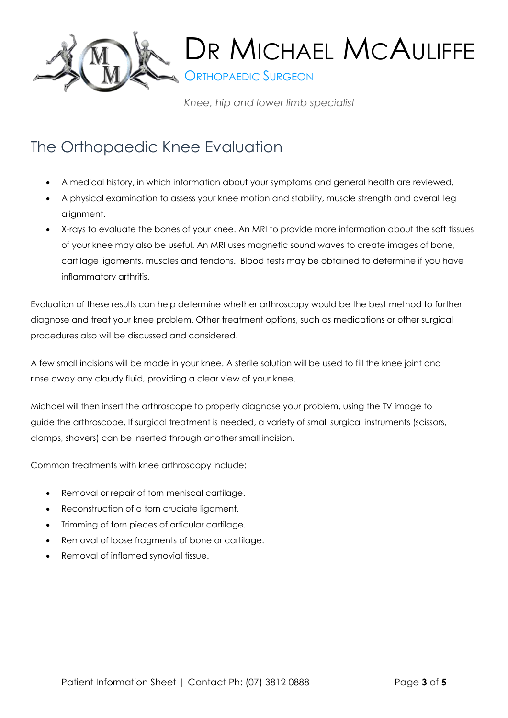

**ORTHOPAEDIC SURGEON** 

*Knee, hip and lower limb specialist*

## The Orthopaedic Knee Evaluation

- A medical history, in which information about your symptoms and general health are reviewed.
- A physical examination to assess your knee motion and stability, muscle strength and overall leg alignment.
- X-rays to evaluate the bones of your knee. An MRI to provide more information about the soft tissues of your knee may also be useful. An MRI uses magnetic sound waves to create images of bone, cartilage ligaments, muscles and tendons. Blood tests may be obtained to determine if you have inflammatory arthritis.

Evaluation of these results can help determine whether arthroscopy would be the best method to further diagnose and treat your knee problem. Other treatment options, such as medications or other surgical procedures also will be discussed and considered.

A few small incisions will be made in your knee. A sterile solution will be used to fill the knee joint and rinse away any cloudy fluid, providing a clear view of your knee.

Michael will then insert the arthroscope to properly diagnose your problem, using the TV image to guide the arthroscope. If surgical treatment is needed, a variety of small surgical instruments (scissors, clamps, shavers) can be inserted through another small incision.

Common treatments with knee arthroscopy include:

- Removal or repair of torn meniscal cartilage.
- Reconstruction of a torn cruciate ligament.
- Trimming of torn pieces of articular cartilage.
- Removal of loose fragments of bone or cartilage.
- Removal of inflamed synovial tissue.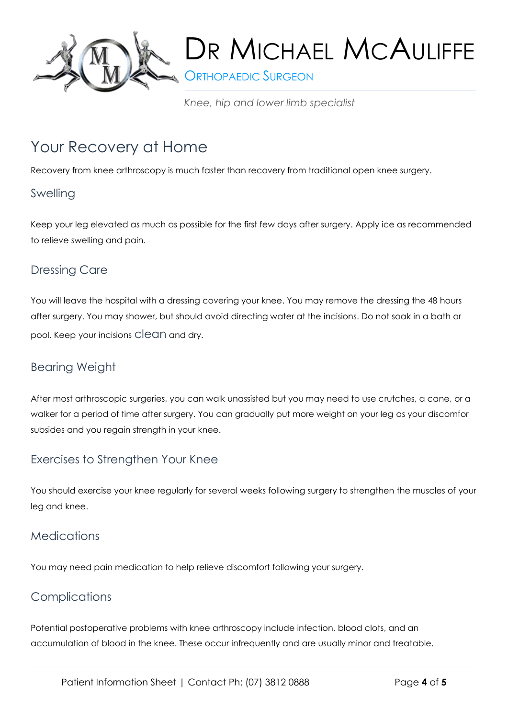

**ORTHOPAEDIC SURGEON** 

*Knee, hip and lower limb specialist*

## Your Recovery at Home

Recovery from knee arthroscopy is much faster than recovery from traditional open knee surgery.

#### Swelling

Keep your leg elevated as much as possible for the first few days after surgery. Apply ice as recommended to relieve swelling and pain.

#### Dressing Care

You will leave the hospital with a dressing covering your knee. You may remove the dressing the 48 hours after surgery. You may shower, but should avoid directing water at the incisions. Do not soak in a bath or pool. Keep your incisions clean and dry.

#### Bearing Weight

After most arthroscopic surgeries, you can walk unassisted but you may need to use crutches, a cane, or a walker for a period of time after surgery. You can gradually put more weight on your leg as your discomfor subsides and you regain strength in your knee.

#### Exercises to Strengthen Your Knee

You should exercise your knee regularly for several weeks following surgery to strengthen the muscles of your leg and knee.

#### **Medications**

You may need pain medication to help relieve discomfort following your surgery.

#### **Complications**

Potential postoperative problems with knee arthroscopy include infection, blood clots, and an accumulation of blood in the knee. These occur infrequently and are usually minor and treatable.